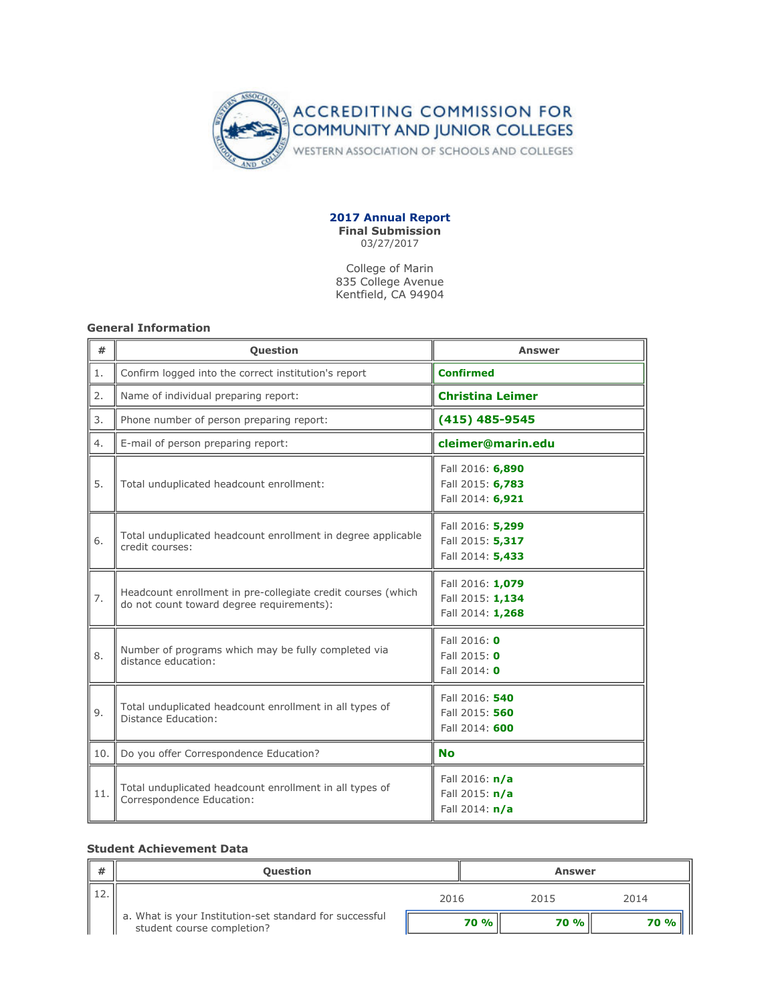

#### **2017 Annual Report Final Submission** 03/27/2017

College of Marin 835 College Avenue Kentfield, CA 94904

## **General Information**

| #   | <b>Question</b>                                                                                           | <b>Answer</b>                                            |  |  |
|-----|-----------------------------------------------------------------------------------------------------------|----------------------------------------------------------|--|--|
| 1.  | Confirm logged into the correct institution's report                                                      | <b>Confirmed</b>                                         |  |  |
| 2.  | Name of individual preparing report:                                                                      | <b>Christina Leimer</b>                                  |  |  |
| 3.  | Phone number of person preparing report:                                                                  | $(415)$ 485-9545                                         |  |  |
| 4.  | E-mail of person preparing report:                                                                        | cleimer@marin.edu                                        |  |  |
| 5.  | Total unduplicated headcount enrollment:                                                                  | Fall 2016: 6,890<br>Fall 2015: 6,783<br>Fall 2014: 6,921 |  |  |
| 6.  | Total unduplicated headcount enrollment in degree applicable<br>credit courses:                           | Fall 2016: 5,299<br>Fall 2015: 5,317<br>Fall 2014: 5,433 |  |  |
| 7.  | Headcount enrollment in pre-collegiate credit courses (which<br>do not count toward degree requirements): | Fall 2016: 1,079<br>Fall 2015: 1,134<br>Fall 2014: 1,268 |  |  |
| 8.  | Number of programs which may be fully completed via<br>distance education:                                | Fall 2016: 0<br>Fall 2015: 0<br>Fall 2014: 0             |  |  |
| 9.  | Total unduplicated headcount enrollment in all types of<br>Distance Education:                            | Fall 2016: 540<br>Fall 2015: 560<br>Fall 2014: 600       |  |  |
| 10. | Do you offer Correspondence Education?                                                                    | <b>No</b>                                                |  |  |
| 11. | Total unduplicated headcount enrollment in all types of<br>Correspondence Education:                      | Fall 2016: $n/a$<br>Fall 2015: n/a<br>Fall 2014: n/a     |  |  |

## **Student Achievement Data**

| <b>#</b> | <b>Question</b>                                                                       |      | <b>Answer</b>         |      |  |
|----------|---------------------------------------------------------------------------------------|------|-----------------------|------|--|
|          |                                                                                       | 2016 | 2015                  | 2014 |  |
|          | a. What is your Institution-set standard for successful<br>student course completion? |      | <b>70 %</b><br>70 % l | 70 % |  |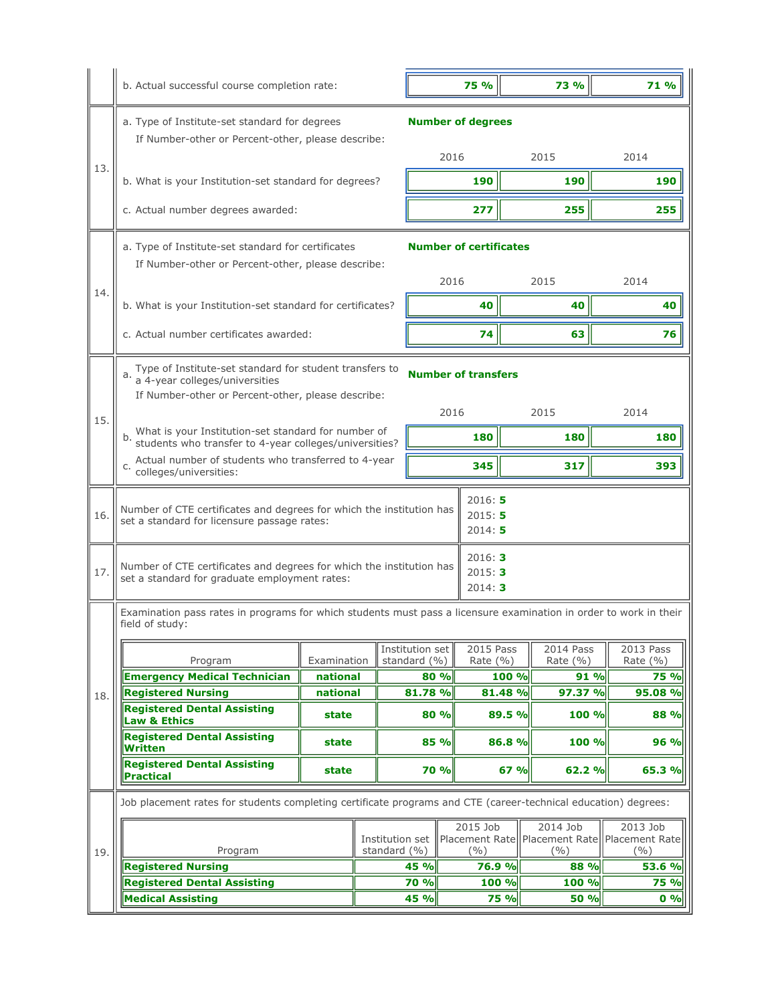|     | b. Actual successful course completion rate:                                                                                              |                                 |       |                      | 75 %                                     |         | <b>73%</b>                           |  | 71 %                               |  |
|-----|-------------------------------------------------------------------------------------------------------------------------------------------|---------------------------------|-------|----------------------|------------------------------------------|---------|--------------------------------------|--|------------------------------------|--|
|     | a. Type of Institute-set standard for degrees<br>If Number-other or Percent-other, please describe:                                       |                                 |       |                      | <b>Number of degrees</b>                 |         |                                      |  |                                    |  |
| 13. |                                                                                                                                           |                                 |       |                      | 2016                                     |         | 2015                                 |  | 2014                               |  |
|     | b. What is your Institution-set standard for degrees?                                                                                     |                                 |       |                      | 190                                      |         | 190                                  |  | 190                                |  |
|     | c. Actual number degrees awarded:                                                                                                         |                                 |       |                      | 277                                      |         | 255                                  |  | 255                                |  |
|     | <b>Number of certificates</b><br>a. Type of Institute-set standard for certificates<br>If Number-other or Percent-other, please describe: |                                 |       |                      |                                          |         |                                      |  |                                    |  |
| 14. |                                                                                                                                           |                                 |       |                      | 2016                                     |         | 2015                                 |  | 2014                               |  |
|     | b. What is your Institution-set standard for certificates?                                                                                |                                 |       |                      | 40                                       |         | 40                                   |  | 40                                 |  |
|     | c. Actual number certificates awarded:                                                                                                    |                                 |       |                      | 74                                       |         | 63                                   |  | 76                                 |  |
|     | a. Type of Institute-set standard for student transfers to<br><b>Number of transfers</b><br>a 4-year colleges/universities                |                                 |       |                      |                                          |         |                                      |  |                                    |  |
| 15. | If Number-other or Percent-other, please describe:                                                                                        |                                 |       |                      | 2016                                     |         | 2015                                 |  | 2014                               |  |
|     | What is your Institution-set standard for number of<br>students who transfer to 4-year colleges/universities?                             |                                 |       |                      | 180                                      |         | 180                                  |  | 180                                |  |
|     | Actual number of students who transferred to 4-year<br>colleges/universities:                                                             |                                 |       |                      | 345                                      |         | 317                                  |  | 393                                |  |
| 16. | Number of CTE certificates and degrees for which the institution has<br>set a standard for licensure passage rates:                       | 2016:5<br>2015:5<br>2014:5      |       |                      |                                          |         |                                      |  |                                    |  |
| 17. | Number of CTE certificates and degrees for which the institution has<br>set a standard for graduate employment rates:                     | 2016: 3<br>2015:3<br>2014:3     |       |                      |                                          |         |                                      |  |                                    |  |
|     | Examination pass rates in programs for which students must pass a licensure examination in order to work in their<br>field of study:      |                                 |       |                      |                                          |         |                                      |  |                                    |  |
|     |                                                                                                                                           |                                 |       | Institution set      | 2015 Pass                                |         | 2014 Pass                            |  | 2013 Pass                          |  |
|     | Program<br><b>Emergency Medical Technician</b>                                                                                            | Examination<br>national         |       | standard (%)<br>80 % | Rate (%)                                 | 100 %   | Rate (%)<br>91 %                     |  | Rate (%)<br><b>75 %</b>            |  |
| 18. | <b>Registered Nursing</b>                                                                                                                 | national                        |       | 81.78 %              |                                          | 81.48 % | 97.37 %                              |  | 95.08 %                            |  |
|     | <b>Registered Dental Assisting</b><br><b>Law &amp; Ethics</b>                                                                             |                                 | state |                      | 80 %                                     | 89.5 %  | 100 %                                |  | 88 %                               |  |
|     | <b>Registered Dental Assisting</b><br>Written                                                                                             | state                           |       | 85 %                 |                                          | 86.8 %  | 100 %                                |  | 96 %                               |  |
|     | <b>Registered Dental Assisting</b><br><b>Practical</b>                                                                                    | state                           |       | <b>70 %</b>          |                                          | 67 %    | 62.2%                                |  | 65.3 %                             |  |
|     | Job placement rates for students completing certificate programs and CTE (career-technical education) degrees:                            |                                 |       |                      |                                          |         |                                      |  |                                    |  |
| 19. | Program                                                                                                                                   | Institution set<br>standard (%) |       |                      | 2015 Job<br><b>Placement Rate</b><br>(%) |         | 2014 Job<br>Placement Rate<br>$($ %) |  | 2013 Job<br>Placement Rate<br>( %) |  |
|     | <b>Registered Nursing</b>                                                                                                                 |                                 |       | 45 %                 | 76.9 %                                   |         | 88 %                                 |  | 53.6 %                             |  |
|     | <b>Registered Dental Assisting</b>                                                                                                        |                                 |       | 70 %                 |                                          | 100 %   | 100 %                                |  | <b>75 %</b>                        |  |
|     | <b>Medical Assisting</b><br>45 %<br><b>75 %</b><br>50 %                                                                                   |                                 |       |                      |                                          | $0\%$   |                                      |  |                                    |  |